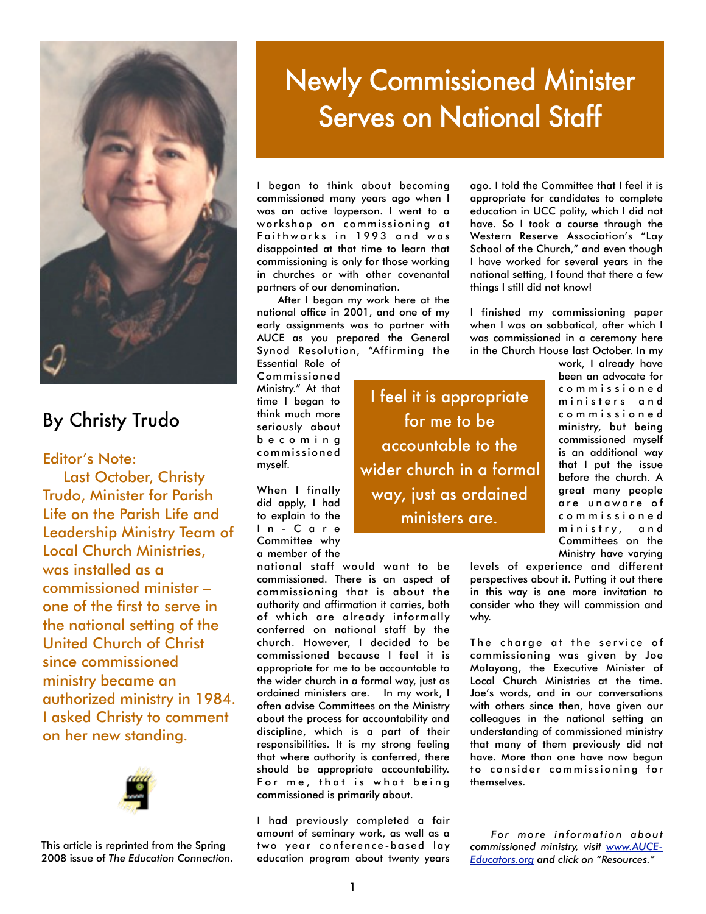

## By Christy Trudo

Editor's Note:

Last October, Christy Trudo, Minister for Parish Life on the Parish Life and Leadership Ministry Team of Local Church Ministries, was installed as a commissioned minister – one of the first to serve in the national setting of the United Church of Christ since commissioned ministry became an authorized ministry in 1984. I asked Christy to comment on her new standing.



This article is reprinted from the Spring 2008 issue of *The Education Connection.*

## Newly Commissioned Minister Serves on National Staff

I feel it is appropriate for me to be

accountable to the

wider church in a formal

way, just as ordained

ministers are.

I began to think about becoming commissioned many years ago when I was an active layperson. I went to a workshop on commissioning at Faithworks in 1993 and was disappointed at that time to learn that commissioning is only for those working in churches or with other covenantal partners of our denomination.

After I began my work here at the national office in 2001, and one of my early assignments was to partner with AUCE as you prepared the General Synod Resolution, "Affirming the

Essential Role of Commissioned Ministry." At that time I began to think much more seriously about b e c o m i n g commissioned myself.

When I finally did apply, I had to explain to the I n - C a r e Committee why a member of the

national staff would want to be commissioned. There is an aspect of commissioning that is about the authority and affirmation it carries, both of which are already informally conferred on national staff by the church. However, I decided to be commissioned because I feel it is appropriate for me to be accountable to the wider church in a formal way, just as ordained ministers are. In my work, I often advise Committees on the Ministry about the process for accountability and discipline, which is a part of their responsibilities. It is my strong feeling that where authority is conferred, there should be appropriate accountability. For me, that is what being commissioned is primarily about.

I had previously completed a fair amount of seminary work, as well as a two year conference-based lay education program about twenty years

ago. I told the Committee that I feel it is appropriate for candidates to complete education in UCC polity, which I did not have. So I took a course through the Western Reserve Association's "Lay School of the Church," and even though I have worked for several years in the national setting, I found that there a few things I still did not know!

I finished my commissioning paper when I was on sabbatical, after which I was commissioned in a ceremony here in the Church House last October. In my

> work, I already have been an advocate for c o m m i s s i o n e d ministers and c o m m i s s i o n e d ministry, but being commissioned myself is an additional way that I put the issue before the church. A great many people are unaware of c o m m i s s i o n e d ministry, and Committees on the

Ministry have varying levels of experience and different perspectives about it. Putting it out there in this way is one more invitation to consider who they will commission and

why.

The charge at the service of commissioning was given by Joe Malayang, the Executive Minister of Local Church Ministries at the time. Joe's words, and in our conversations with others since then, have given our colleagues in the national setting an understanding of commissioned ministry that many of them previously did not have. More than one have now begun to consider commissioning for themselves.

*For more information about commissioned ministry, visit [www.AUCE-](http://www.AUCE-Educators.org)[Educators.org](http://www.AUCE-Educators.org) and click on "Resources."*